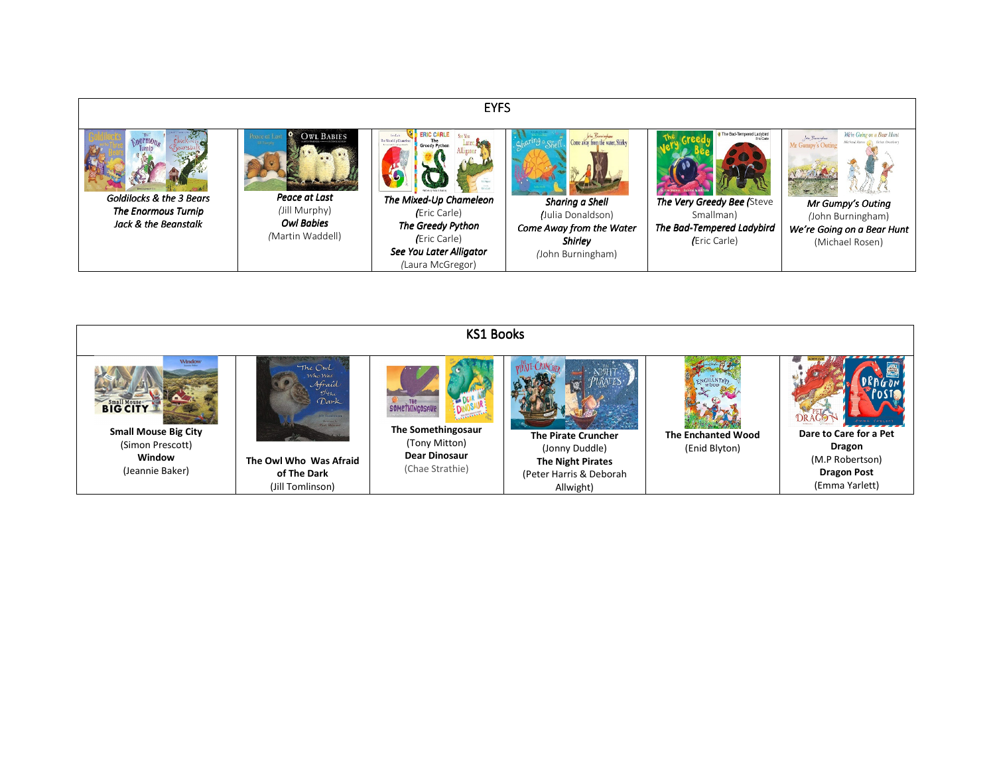

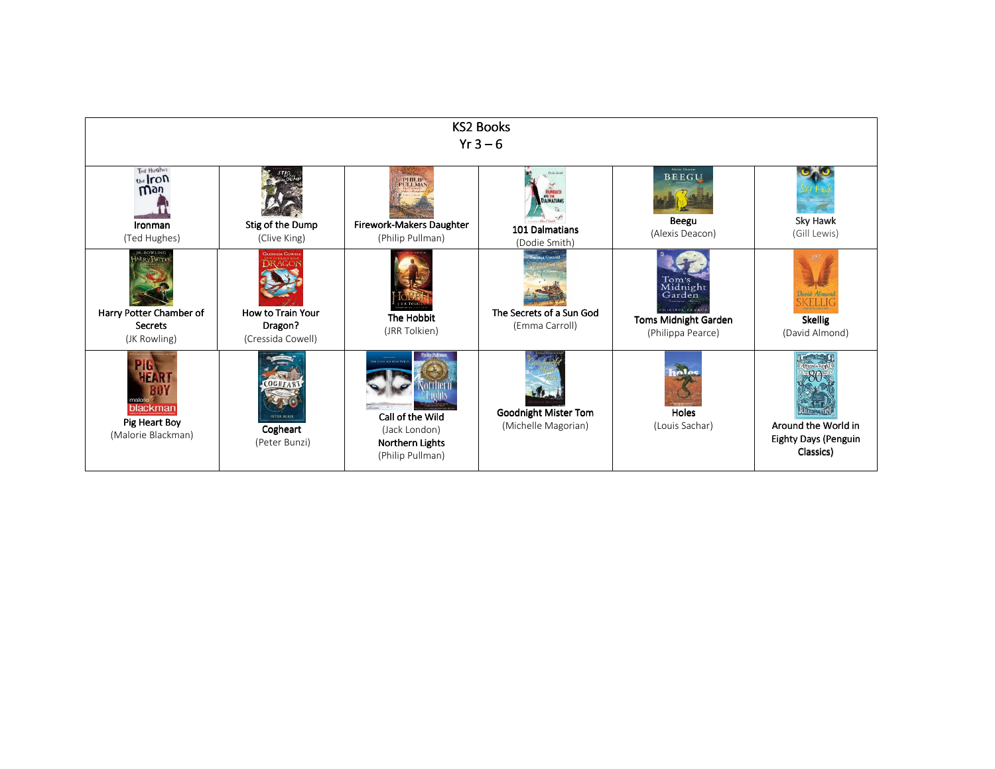| <b>KS2 Books</b><br>$Yr3-6$                                                                     |                                                                            |                                                                                                       |                                                                       |                                                                                                    |                                                                 |
|-------------------------------------------------------------------------------------------------|----------------------------------------------------------------------------|-------------------------------------------------------------------------------------------------------|-----------------------------------------------------------------------|----------------------------------------------------------------------------------------------------|-----------------------------------------------------------------|
| Ted Hughes<br>the Iron<br><b>Wgù</b><br>Ironman<br>(Ted Hughes)                                 | Stig of the Dump<br>(Clive King)                                           | PHILIP<br>Firework-Makers Daughter<br>(Philip Pullman)                                                | DALMATIANS<br>101 Dalmatians<br>(Dodie Smith)                         | <b>Alexis Deacon</b><br><b>BEEGU</b><br>Beegu<br>(Alexis Deacon)                                   | Sky Hawk<br>(Gill Lewis)                                        |
| J.K. ROWLING<br><b>HARRY POPTE</b><br>Harry Potter Chamber of<br><b>Secrets</b><br>(JK Rowling) | <b>CRESSIDA COWEI</b><br>How to Train Your<br>Dragon?<br>(Cressida Cowell) | The Hobbit<br>(JRR Tolkien)                                                                           | <b>SHIPHIA CALTROLL</b><br>The Secrets of a Sun God<br>(Emma Carroll) | Tom's<br>Midnight<br>Garden<br>PHILIPPA PEARCE<br><b>Toms Midnight Garden</b><br>(Philippa Pearce) | David Almono<br><b>Skellig</b><br>(David Almond)                |
| blackman<br>Pig Heart Boy<br>(Malorie Blackman)                                                 | OGHFA<br><b>DETER RILNZ</b><br>Cogheart<br>(Peter Bunzi)                   | <b>ILE CALL OF THE WE</b><br>Call of the Wild<br>(Jack London)<br>Northern Lights<br>(Philip Pullman) | Goodnight Mister Tom<br>(Michelle Magorian)                           | inles<br>Holes<br>(Louis Sachar)                                                                   | Around the World in<br><b>Eighty Days (Penguin</b><br>Classics) |